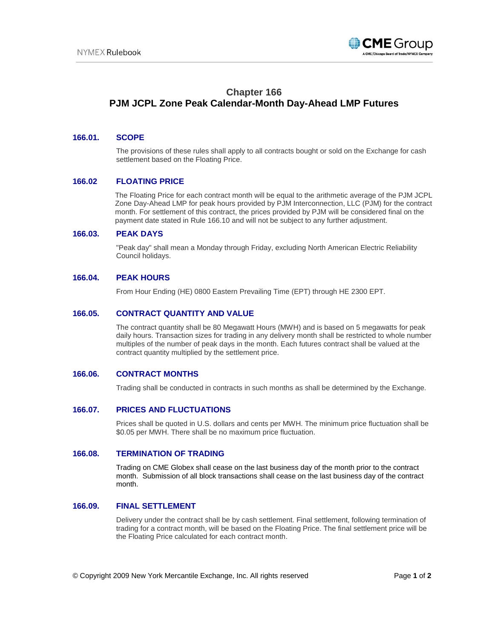

# **Chapter 166**

# **PJM JCPL Zone Peak Calendar-Month Day-Ahead LMP Futures**

## **166.01. SCOPE**

The provisions of these rules shall apply to all contracts bought or sold on the Exchange for cash settlement based on the Floating Price.

### **166.02 FLOATING PRICE**

The Floating Price for each contract month will be equal to the arithmetic average of the PJM JCPL Zone Day-Ahead LMP for peak hours provided by PJM Interconnection, LLC (PJM) for the contract month. For settlement of this contract, the prices provided by PJM will be considered final on the payment date stated in Rule 166.10 and will not be subject to any further adjustment.

#### **166.03. PEAK DAYS**

"Peak day" shall mean a Monday through Friday, excluding North American Electric Reliability Council holidays.

### **166.04. PEAK HOURS**

From Hour Ending (HE) 0800 Eastern Prevailing Time (EPT) through HE 2300 EPT.

### **166.05. CONTRACT QUANTITY AND VALUE**

The contract quantity shall be 80 Megawatt Hours (MWH) and is based on 5 megawatts for peak daily hours. Transaction sizes for trading in any delivery month shall be restricted to whole number multiples of the number of peak days in the month. Each futures contract shall be valued at the contract quantity multiplied by the settlement price.

#### **166.06. CONTRACT MONTHS**

Trading shall be conducted in contracts in such months as shall be determined by the Exchange.

#### **166.07. PRICES AND FLUCTUATIONS**

Prices shall be quoted in U.S. dollars and cents per MWH. The minimum price fluctuation shall be \$0.05 per MWH. There shall be no maximum price fluctuation.

#### **166.08. TERMINATION OF TRADING**

Trading on CME Globex shall cease on the last business day of the month prior to the contract month. Submission of all block transactions shall cease on the last business day of the contract month.

# **166.09. FINAL SETTLEMENT**

Delivery under the contract shall be by cash settlement. Final settlement, following termination of trading for a contract month, will be based on the Floating Price. The final settlement price will be the Floating Price calculated for each contract month.